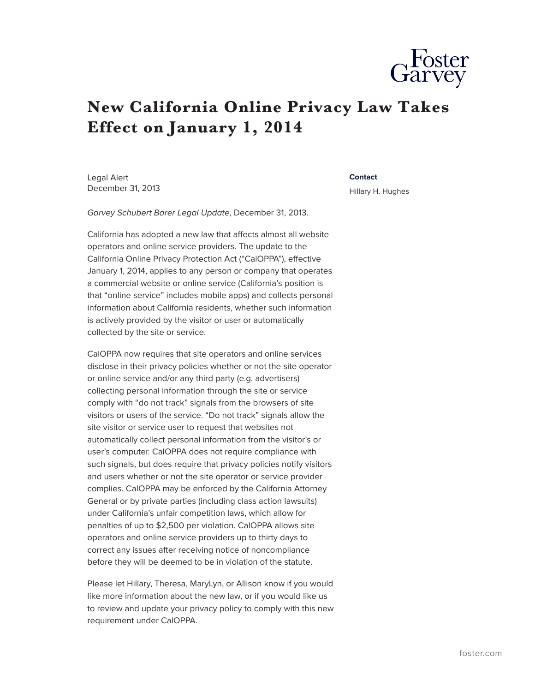## **New California Online Privacy Law Takes Effect on January 1, 2014**

Legal Alert December 31, 2013

## **Contact**

Hillary H. Hughes

*Garvey Schubert Barer Legal Update*, December 31, 2013.

California has adopted a new law that affects almost all website operators and online service providers. The update to the California Online Privacy Protection Act ("CalOPPA"), effective January 1, 2014, applies to any person or company that operates a commercial website or online service (California's position is that "online service" includes mobile apps) and collects personal information about California residents, whether such information is actively provided by the visitor or user or automatically collected by the site or service.

CalOPPA now requires that site operators and online services disclose in their privacy policies whether or not the site operator or online service and/or any third party (e.g. advertisers) collecting personal information through the site or service comply with "do not track" signals from the browsers of site visitors or users of the service. "Do not track" signals allow the site visitor or service user to request that websites not automatically collect personal information from the visitor's or user's computer. CalOPPA does not require compliance with such signals, but does require that privacy policies notify visitors and users whether or not the site operator or service provider complies. CalOPPA may be enforced by the California Attorney General or by private parties (including class action lawsuits) under California's unfair competition laws, which allow for penalties of up to \$2,500 per violation. CalOPPA allows site operators and online service providers up to thirty days to correct any issues after receiving notice of noncompliance before they will be deemed to be in violation of the statute.

Please let Hillary, Theresa, MaryLyn, or Allison know if you would like more information about the new law, or if you would like us to review and update your privacy policy to comply with this new requirement under CalOPPA.